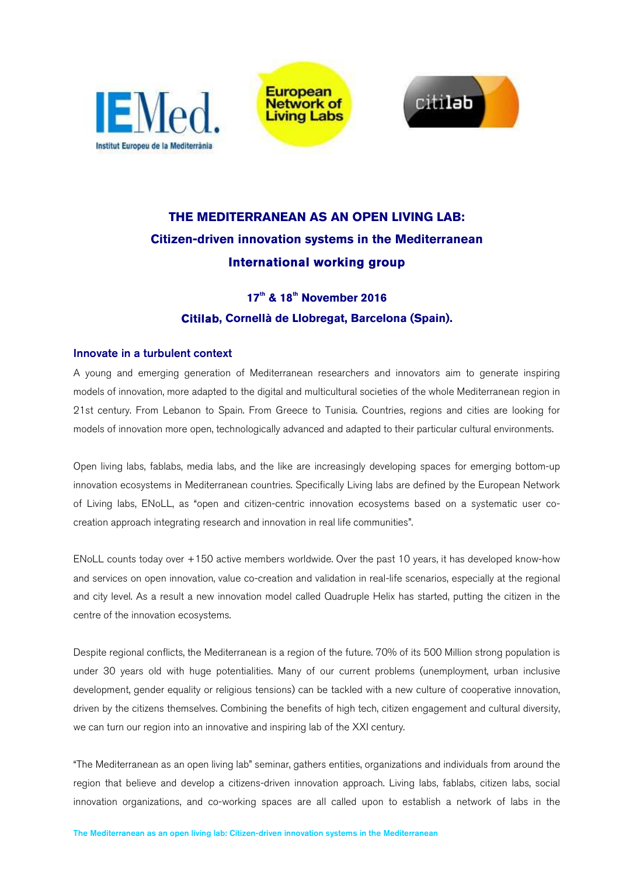

**European Network of Living Labs** 



# **THE MEDITERRANEAN AS AN OPEN LIVING LAB: Citizen-driven innovation systems in the Mediterranean International working group**

# **17th & 18th November 2016 Citilab, Cornellà de Llobregat, Barcelona (Spain).**

# Innovate in a turbulent context

A young and emerging generation of Mediterranean researchers and innovators aim to generate inspiring models of innovation, more adapted to the digital and multicultural societies of the whole Mediterranean region in 21st century. From Lebanon to Spain. From Greece to Tunisia. Countries, regions and cities are looking for models of innovation more open, technologically advanced and adapted to their particular cultural environments.

Open living labs, fablabs, media labs, and the like are increasingly developing spaces for emerging bottom-up innovation ecosystems in Mediterranean countries. Specifically Living labs are defined by the European Network of Living labs, ENoLL, as "open and citizen-centric innovation ecosystems based on a systematic user cocreation approach integrating research and innovation in real life communities".

ENoLL counts today over +150 active members worldwide. Over the past 10 years, it has developed know-how and services on open innovation, value co-creation and validation in real-life scenarios, especially at the regional and city level. As a result a new innovation model called Quadruple Helix has started, putting the citizen in the centre of the innovation ecosystems.

Despite regional conflicts, the Mediterranean is a region of the future. 70% of its 500 Million strong population is under 30 years old with huge potentialities. Many of our current problems (unemployment, urban inclusive development, gender equality or religious tensions) can be tackled with a new culture of cooperative innovation, driven by the citizens themselves. Combining the benefits of high tech, citizen engagement and cultural diversity, we can turn our region into an innovative and inspiring lab of the XXI century.

"The Mediterranean as an open living lab" seminar, gathers entities, organizations and individuals from around the region that believe and develop a citizens-driven innovation approach. Living labs, fablabs, citizen labs, social innovation organizations, and co-working spaces are all called upon to establish a network of labs in the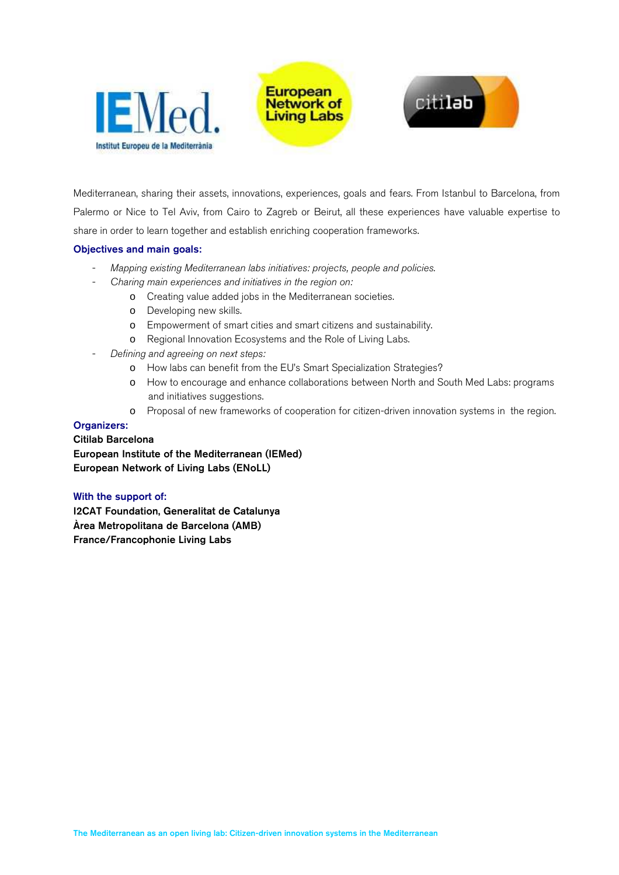





Mediterranean, sharing their assets, innovations, experiences, goals and fears. From Istanbul to Barcelona, from Palermo or Nice to Tel Aviv, from Cairo to Zagreb or Beirut, all these experiences have valuable expertise to share in order to learn together and establish enriching cooperation frameworks.

# Objectives and main goals:

- *Mapping existing Mediterranean labs initiatives: projects, people and policies.*
- *Charing main experiences and initiatives in the region on:* 
	- o Creating value added jobs in the Mediterranean societies.
	- o Developing new skills.
	- o Empowerment of smart cities and smart citizens and sustainability.
	- o Regional Innovation Ecosystems and the Role of Living Labs.
- *Defining and agreeing on next steps:*
	- o How labs can benefit from the EU's Smart Specialization Strategies?
	- o How to encourage and enhance collaborations between North and South Med Labs: programs and initiatives suggestions.
	- o Proposal of new frameworks of cooperation for citizen-driven innovation systems in the region.

#### Organizers:

#### Citilab Barcelona

European Institute of the Mediterranean (IEMed) European Network of Living Labs (ENoLL)

#### With the support of:

I2CAT Foundation, Generalitat de Catalunya Àrea Metropolitana de Barcelona (AMB) France/Francophonie Living Labs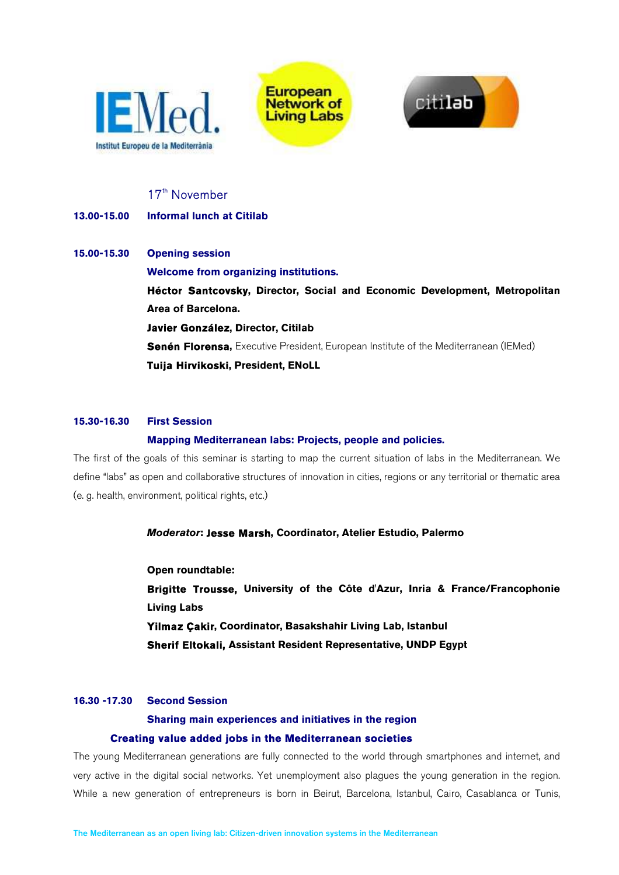





# 17<sup>th</sup> November

# **13.00-15.00 Informal lunch at Citilab**

# **15.00-15.30 Opening session Welcome from organizing institutions. Héctor Santcovsky, Director, Social and Economic Development, Metropolitan Area of Barcelona. Javier González, Director, Citilab Senén Florensa,** Executive President, European Institute of the Mediterranean (IEMed) **Tuija Hirvikoski, President, ENoLL**

### **15.30-16.30 First Session**

### **Mapping Mediterranean labs: Projects, people and policies.**

The first of the goals of this seminar is starting to map the current situation of labs in the Mediterranean. We define "labs" as open and collaborative structures of innovation in cities, regions or any territorial or thematic area (e. g. health, environment, political rights, etc.)

# *Moderator***: Jesse Marsh, Coordinator, Atelier Estudio, Palermo**

**Open roundtable: Brigitte Trousse, University of the Côte d'Azur, Inria & France/Francophonie Living Labs Yilmaz Çakir, Coordinator, Basakshahir Living Lab, Istanbul Sherif Eltokali, Assistant Resident Representative, UNDP Egypt**

# **16.30 -17.30 Second Session**

# **Sharing main experiences and initiatives in the region Creating value added jobs in the Mediterranean societies**

The young Mediterranean generations are fully connected to the world through smartphones and internet, and very active in the digital social networks. Yet unemployment also plagues the young generation in the region. While a new generation of entrepreneurs is born in Beirut, Barcelona, Istanbul, Cairo, Casablanca or Tunis,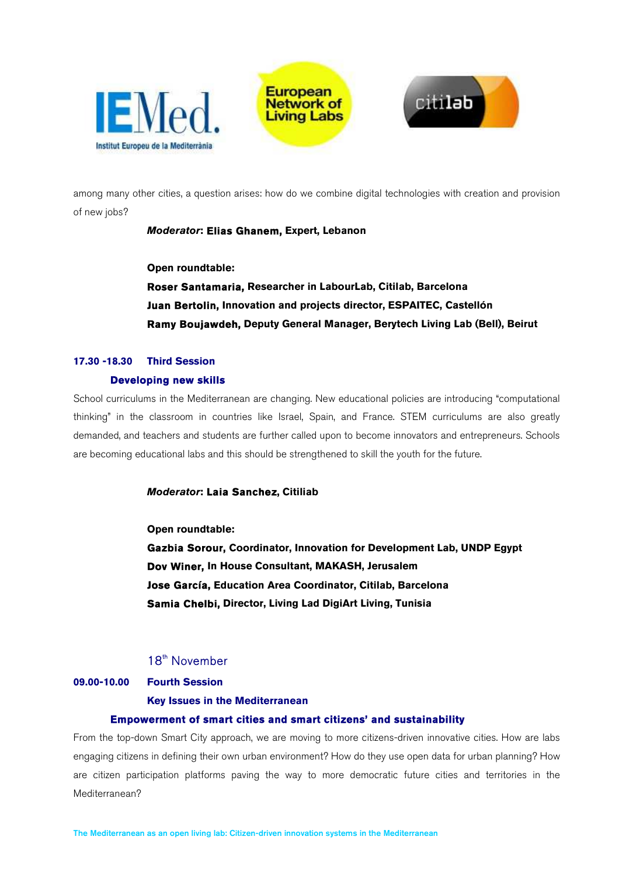





among many other cities, a question arises: how do we combine digital technologies with creation and provision of new jobs?

# *Moderator***: Elias Ghanem, Expert, Lebanon**

**Open roundtable:** 

**Roser Santamaria, Researcher in LabourLab, Citilab, Barcelona Juan Bertolin, Innovation and projects director, ESPAITEC, Castellón Ramy Boujawdeh, Deputy General Manager, Berytech Living Lab (Bell), Beirut** 

# **17.30 -18.30 Third Session**

#### **Developing new skills**

School curriculums in the Mediterranean are changing. New educational policies are introducing "computational thinking" in the classroom in countries like Israel, Spain, and France. STEM curriculums are also greatly demanded, and teachers and students are further called upon to become innovators and entrepreneurs. Schools are becoming educational labs and this should be strengthened to skill the youth for the future.

#### *Moderator***: Laia Sanchez, Citiliab**

**Open roundtable:** 

**Gazbia Sorour, Coordinator, Innovation for Development Lab, UNDP Egypt Dov Winer, In House Consultant, MAKASH, Jerusalem Jose García, Education Area Coordinator, Citilab, Barcelona Samia Chelbi, Director, Living Lad DigiArt Living, Tunisia** 

# 18<sup>th</sup> November

#### **09.00-10.00 Fourth Session**

#### **Key Issues in the Mediterranean**

#### **Empowerment of smart cities and smart citizens' and sustainability**

From the top-down Smart City approach, we are moving to more citizens-driven innovative cities. How are labs engaging citizens in defining their own urban environment? How do they use open data for urban planning? How are citizen participation platforms paving the way to more democratic future cities and territories in the Mediterranean?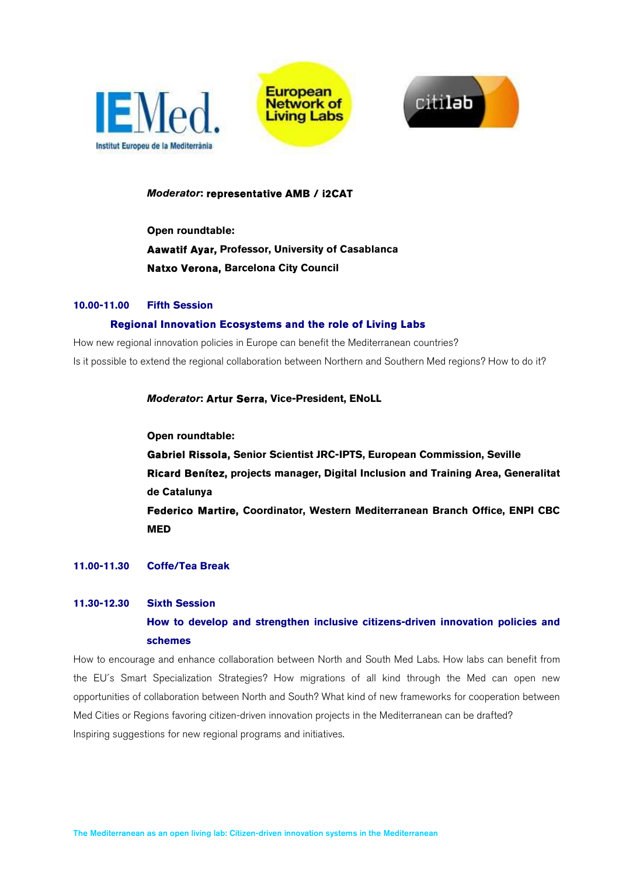





#### *Moderator***: representative AMB / i2CAT**

**Open roundtable: Aawatif Ayar, Professor, University of Casablanca Natxo Verona, Barcelona City Council** 

#### **10.00-11.00 Fifth Session**

#### **Regional Innovation Ecosystems and the role of Living Labs**

How new regional innovation policies in Europe can benefit the Mediterranean countries? Is it possible to extend the regional collaboration between Northern and Southern Med regions? How to do it?

*Moderator***: Artur Serra, Vice-President, ENoLL** 

**Open roundtable:** 

**Gabriel Rissola, Senior Scientist JRC-IPTS, European Commission, Seville Ricard Benítez, projects manager, Digital Inclusion and Training Area, Generalitat de Catalunya Federico Martire, Coordinator, Western Mediterranean Branch Office, ENPI CBC MED** 

#### **11.00-11.30 Coffe/Tea Break**

### **11.30-12.30 Sixth Session**

# **How to develop and strengthen inclusive citizens-driven innovation policies and schemes**

How to encourage and enhance collaboration between North and South Med Labs. How labs can benefit from the EU´s Smart Specialization Strategies? How migrations of all kind through the Med can open new opportunities of collaboration between North and South? What kind of new frameworks for cooperation between Med Cities or Regions favoring citizen-driven innovation projects in the Mediterranean can be drafted? Inspiring suggestions for new regional programs and initiatives.